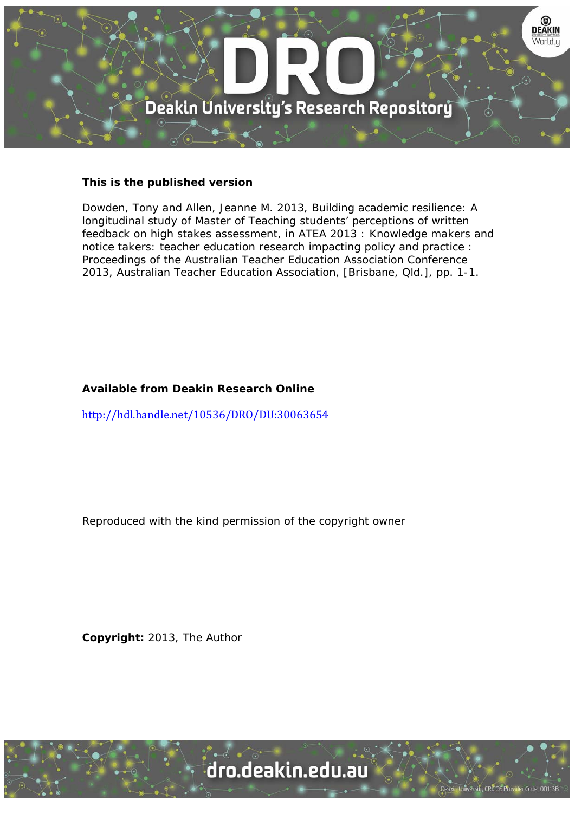

# **This is the published version**

Dowden, Tony and Allen, Jeanne M. 2013, Building academic resilience: A longitudinal study of Master of Teaching students' perceptions of written feedback on high stakes assessment, in ATEA 2013 : Knowledge makers and notice takers: teacher education research impacting policy and practice : Proceedings of the Australian Teacher Education Association Conference 2013, Australian Teacher Education Association, [Brisbane, Qld.], pp. 1-1.

# **Available from Deakin Research Online**

http://hdl.handle.net/10536/DRO/DU:30063654

Reproduced with the kind permission of the copyright owner

**Copyright:** 2013, The Author

University CRICOS Provider Code: 00113B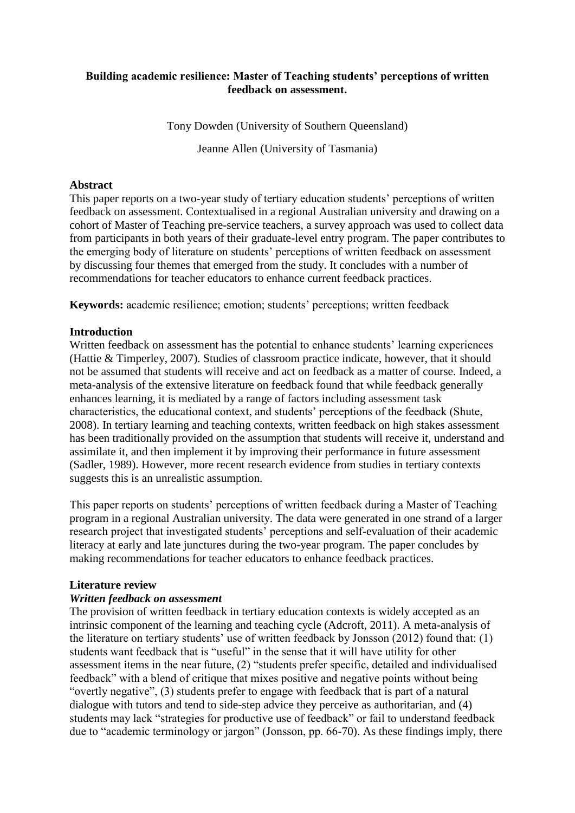# **Building academic resilience: Master of Teaching students' perceptions of written feedback on assessment.**

Tony Dowden (University of Southern Queensland)

Jeanne Allen (University of Tasmania)

# **Abstract**

This paper reports on a two-year study of tertiary education students' perceptions of written feedback on assessment. Contextualised in a regional Australian university and drawing on a cohort of Master of Teaching pre-service teachers, a survey approach was used to collect data from participants in both years of their graduate-level entry program. The paper contributes to the emerging body of literature on students' perceptions of written feedback on assessment by discussing four themes that emerged from the study. It concludes with a number of recommendations for teacher educators to enhance current feedback practices.

**Keywords:** academic resilience; emotion; students' perceptions; written feedback

# **Introduction**

Written feedback on assessment has the potential to enhance students' learning experiences (Hattie & Timperley, 2007). Studies of classroom practice indicate, however, that it should not be assumed that students will receive and act on feedback as a matter of course. Indeed, a meta-analysis of the extensive literature on feedback found that while feedback generally enhances learning, it is mediated by a range of factors including assessment task characteristics, the educational context, and students' perceptions of the feedback (Shute, 2008). In tertiary learning and teaching contexts, written feedback on high stakes assessment has been traditionally provided on the assumption that students will receive it, understand and assimilate it, and then implement it by improving their performance in future assessment (Sadler, 1989). However, more recent research evidence from studies in tertiary contexts suggests this is an unrealistic assumption.

This paper reports on students' perceptions of written feedback during a Master of Teaching program in a regional Australian university. The data were generated in one strand of a larger research project that investigated students' perceptions and self-evaluation of their academic literacy at early and late junctures during the two-year program. The paper concludes by making recommendations for teacher educators to enhance feedback practices.

### **Literature review**

### *Written feedback on assessment*

The provision of written feedback in tertiary education contexts is widely accepted as an intrinsic component of the learning and teaching cycle (Adcroft, 2011). A meta-analysis of the literature on tertiary students' use of written feedback by Jonsson (2012) found that: (1) students want feedback that is "useful" in the sense that it will have utility for other assessment items in the near future, (2) "students prefer specific, detailed and individualised feedback" with a blend of critique that mixes positive and negative points without being "overtly negative", (3) students prefer to engage with feedback that is part of a natural dialogue with tutors and tend to side-step advice they perceive as authoritarian, and (4) students may lack "strategies for productive use of feedback" or fail to understand feedback due to "academic terminology or jargon" (Jonsson, pp. 66-70). As these findings imply, there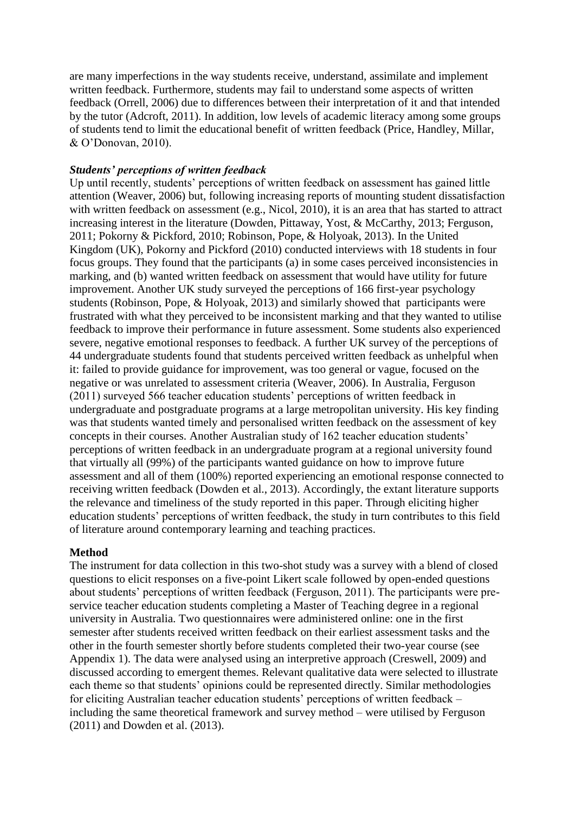are many imperfections in the way students receive, understand, assimilate and implement written feedback. Furthermore, students may fail to understand some aspects of written feedback (Orrell, 2006) due to differences between their interpretation of it and that intended by the tutor (Adcroft, 2011). In addition, low levels of academic literacy among some groups of students tend to limit the educational benefit of written feedback (Price, Handley, Millar, & O'Donovan, 2010).

### *Students' perceptions of written feedback*

Up until recently, students' perceptions of written feedback on assessment has gained little attention (Weaver, 2006) but, following increasing reports of mounting student dissatisfaction with written feedback on assessment (e.g., Nicol, 2010), it is an area that has started to attract increasing interest in the literature (Dowden, Pittaway, Yost, & McCarthy, 2013; Ferguson, 2011; Pokorny & Pickford, 2010; Robinson, Pope, & Holyoak, 2013). In the United Kingdom (UK), Pokorny and Pickford (2010) conducted interviews with 18 students in four focus groups. They found that the participants (a) in some cases perceived inconsistencies in marking, and (b) wanted written feedback on assessment that would have utility for future improvement. Another UK study surveyed the perceptions of 166 first-year psychology students (Robinson, Pope, & Holyoak, 2013) and similarly showed that participants were frustrated with what they perceived to be inconsistent marking and that they wanted to utilise feedback to improve their performance in future assessment. Some students also experienced severe, negative emotional responses to feedback. A further UK survey of the perceptions of 44 undergraduate students found that students perceived written feedback as unhelpful when it: failed to provide guidance for improvement, was too general or vague, focused on the negative or was unrelated to assessment criteria (Weaver, 2006). In Australia, Ferguson (2011) surveyed 566 teacher education students' perceptions of written feedback in undergraduate and postgraduate programs at a large metropolitan university. His key finding was that students wanted timely and personalised written feedback on the assessment of key concepts in their courses. Another Australian study of 162 teacher education students' perceptions of written feedback in an undergraduate program at a regional university found that virtually all (99%) of the participants wanted guidance on how to improve future assessment and all of them (100%) reported experiencing an emotional response connected to receiving written feedback (Dowden et al., 2013). Accordingly, the extant literature supports the relevance and timeliness of the study reported in this paper. Through eliciting higher education students' perceptions of written feedback, the study in turn contributes to this field of literature around contemporary learning and teaching practices.

### **Method**

The instrument for data collection in this two-shot study was a survey with a blend of closed questions to elicit responses on a five-point Likert scale followed by open-ended questions about students' perceptions of written feedback (Ferguson, 2011). The participants were preservice teacher education students completing a Master of Teaching degree in a regional university in Australia. Two questionnaires were administered online: one in the first semester after students received written feedback on their earliest assessment tasks and the other in the fourth semester shortly before students completed their two-year course (see Appendix 1). The data were analysed using an interpretive approach (Creswell, 2009) and discussed according to emergent themes. Relevant qualitative data were selected to illustrate each theme so that students' opinions could be represented directly. Similar methodologies for eliciting Australian teacher education students' perceptions of written feedback – including the same theoretical framework and survey method – were utilised by Ferguson (2011) and Dowden et al. (2013).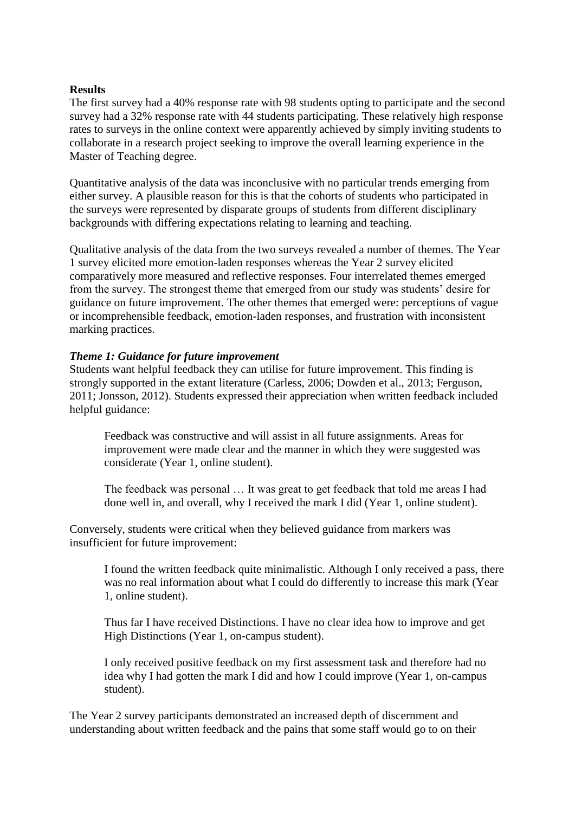#### **Results**

The first survey had a 40% response rate with 98 students opting to participate and the second survey had a 32% response rate with 44 students participating. These relatively high response rates to surveys in the online context were apparently achieved by simply inviting students to collaborate in a research project seeking to improve the overall learning experience in the Master of Teaching degree.

Quantitative analysis of the data was inconclusive with no particular trends emerging from either survey. A plausible reason for this is that the cohorts of students who participated in the surveys were represented by disparate groups of students from different disciplinary backgrounds with differing expectations relating to learning and teaching.

Qualitative analysis of the data from the two surveys revealed a number of themes. The Year 1 survey elicited more emotion-laden responses whereas the Year 2 survey elicited comparatively more measured and reflective responses. Four interrelated themes emerged from the survey. The strongest theme that emerged from our study was students' desire for guidance on future improvement. The other themes that emerged were: perceptions of vague or incomprehensible feedback, emotion-laden responses, and frustration with inconsistent marking practices.

#### *Theme 1: Guidance for future improvement*

Students want helpful feedback they can utilise for future improvement. This finding is strongly supported in the extant literature (Carless, 2006; Dowden et al., 2013; Ferguson, 2011; Jonsson, 2012). Students expressed their appreciation when written feedback included helpful guidance:

Feedback was constructive and will assist in all future assignments. Areas for improvement were made clear and the manner in which they were suggested was considerate (Year 1, online student).

The feedback was personal … It was great to get feedback that told me areas I had done well in, and overall, why I received the mark I did (Year 1, online student).

Conversely, students were critical when they believed guidance from markers was insufficient for future improvement:

I found the written feedback quite minimalistic. Although I only received a pass, there was no real information about what I could do differently to increase this mark (Year 1, online student).

Thus far I have received Distinctions. I have no clear idea how to improve and get High Distinctions (Year 1, on-campus student).

I only received positive feedback on my first assessment task and therefore had no idea why I had gotten the mark I did and how I could improve (Year 1, on-campus student).

The Year 2 survey participants demonstrated an increased depth of discernment and understanding about written feedback and the pains that some staff would go to on their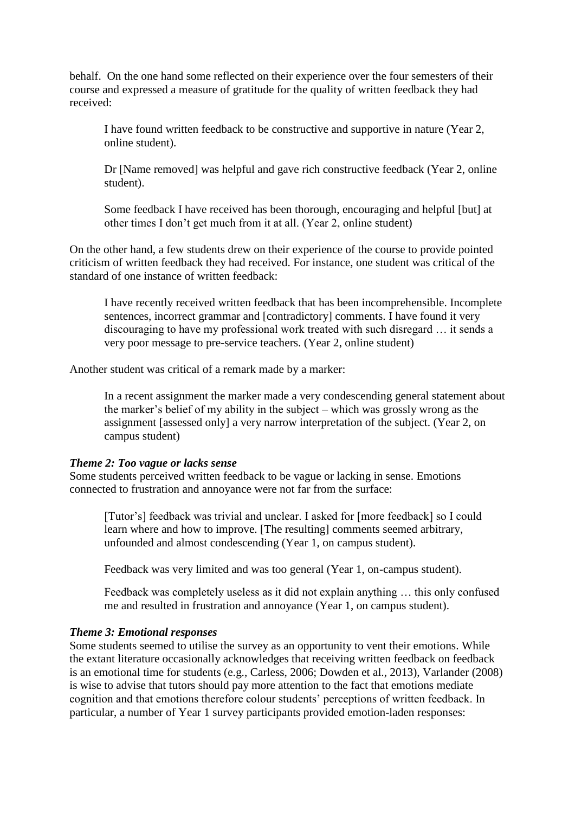behalf. On the one hand some reflected on their experience over the four semesters of their course and expressed a measure of gratitude for the quality of written feedback they had received:

I have found written feedback to be constructive and supportive in nature (Year 2, online student).

Dr [Name removed] was helpful and gave rich constructive feedback (Year 2, online student).

Some feedback I have received has been thorough, encouraging and helpful [but] at other times I don't get much from it at all. (Year 2, online student)

On the other hand, a few students drew on their experience of the course to provide pointed criticism of written feedback they had received. For instance, one student was critical of the standard of one instance of written feedback:

I have recently received written feedback that has been incomprehensible. Incomplete sentences, incorrect grammar and [contradictory] comments. I have found it very discouraging to have my professional work treated with such disregard … it sends a very poor message to pre-service teachers. (Year 2, online student)

Another student was critical of a remark made by a marker:

In a recent assignment the marker made a very condescending general statement about the marker's belief of my ability in the subject – which was grossly wrong as the assignment [assessed only] a very narrow interpretation of the subject. (Year 2, on campus student)

### *Theme 2: Too vague or lacks sense*

Some students perceived written feedback to be vague or lacking in sense. Emotions connected to frustration and annoyance were not far from the surface:

[Tutor's] feedback was trivial and unclear. I asked for [more feedback] so I could learn where and how to improve. [The resulting] comments seemed arbitrary, unfounded and almost condescending (Year 1, on campus student).

Feedback was very limited and was too general (Year 1, on-campus student).

Feedback was completely useless as it did not explain anything … this only confused me and resulted in frustration and annoyance (Year 1, on campus student).

### *Theme 3: Emotional responses*

Some students seemed to utilise the survey as an opportunity to vent their emotions. While the extant literature occasionally acknowledges that receiving written feedback on feedback is an emotional time for students (e.g., Carless, 2006; Dowden et al., 2013), Varlander (2008) is wise to advise that tutors should pay more attention to the fact that emotions mediate cognition and that emotions therefore colour students' perceptions of written feedback. In particular, a number of Year 1 survey participants provided emotion-laden responses: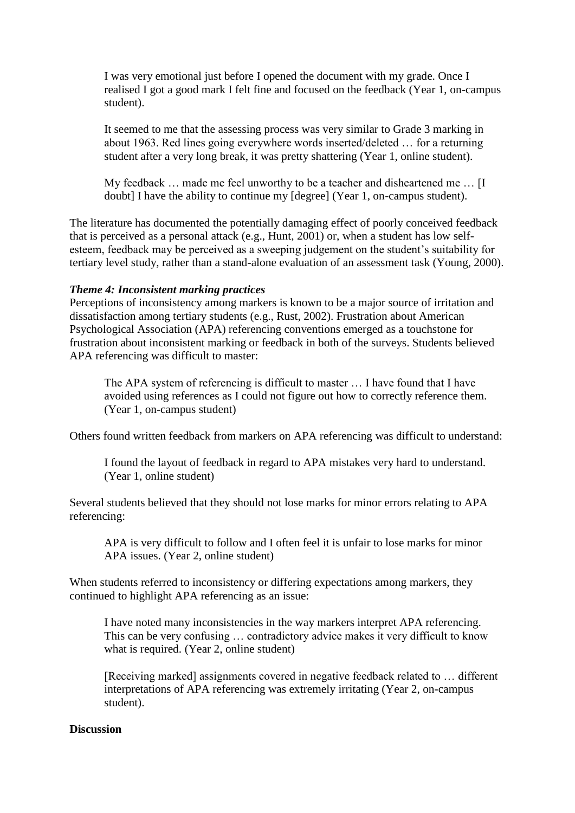I was very emotional just before I opened the document with my grade. Once I realised I got a good mark I felt fine and focused on the feedback (Year 1, on-campus student).

It seemed to me that the assessing process was very similar to Grade 3 marking in about 1963. Red lines going everywhere words inserted/deleted … for a returning student after a very long break, it was pretty shattering (Year 1, online student).

My feedback … made me feel unworthy to be a teacher and disheartened me … [I doubt] I have the ability to continue my [degree] (Year 1, on-campus student).

The literature has documented the potentially damaging effect of poorly conceived feedback that is perceived as a personal attack (e.g., Hunt, 2001) or, when a student has low selfesteem, feedback may be perceived as a sweeping judgement on the student's suitability for tertiary level study, rather than a stand-alone evaluation of an assessment task (Young, 2000).

#### *Theme 4: Inconsistent marking practices*

Perceptions of inconsistency among markers is known to be a major source of irritation and dissatisfaction among tertiary students (e.g., Rust, 2002). Frustration about American Psychological Association (APA) referencing conventions emerged as a touchstone for frustration about inconsistent marking or feedback in both of the surveys. Students believed APA referencing was difficult to master:

The APA system of referencing is difficult to master … I have found that I have avoided using references as I could not figure out how to correctly reference them. (Year 1, on-campus student)

Others found written feedback from markers on APA referencing was difficult to understand:

I found the layout of feedback in regard to APA mistakes very hard to understand. (Year 1, online student)

Several students believed that they should not lose marks for minor errors relating to APA referencing:

APA is very difficult to follow and I often feel it is unfair to lose marks for minor APA issues. (Year 2, online student)

When students referred to inconsistency or differing expectations among markers, they continued to highlight APA referencing as an issue:

I have noted many inconsistencies in the way markers interpret APA referencing. This can be very confusing … contradictory advice makes it very difficult to know what is required. (Year 2, online student)

[Receiving marked] assignments covered in negative feedback related to … different interpretations of APA referencing was extremely irritating (Year 2, on-campus student).

#### **Discussion**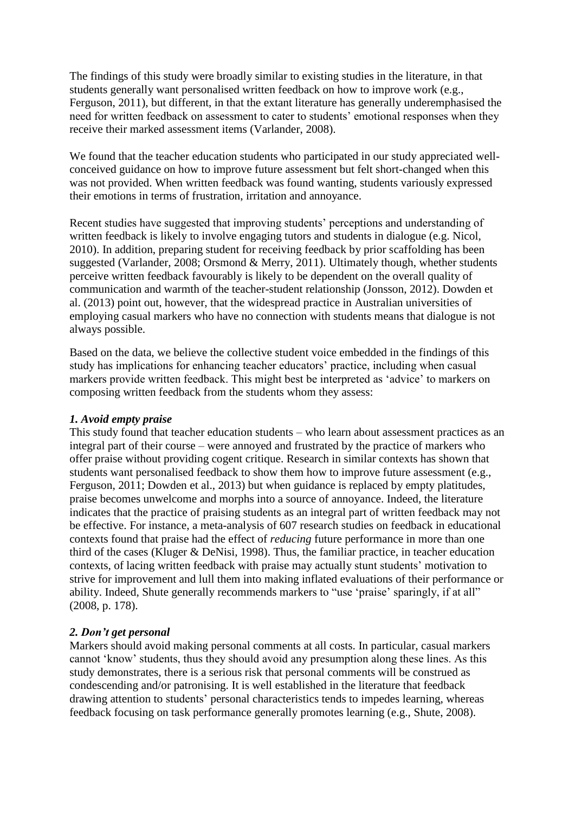The findings of this study were broadly similar to existing studies in the literature, in that students generally want personalised written feedback on how to improve work (e.g., Ferguson, 2011), but different, in that the extant literature has generally underemphasised the need for written feedback on assessment to cater to students' emotional responses when they receive their marked assessment items (Varlander, 2008).

We found that the teacher education students who participated in our study appreciated wellconceived guidance on how to improve future assessment but felt short-changed when this was not provided. When written feedback was found wanting, students variously expressed their emotions in terms of frustration, irritation and annoyance.

Recent studies have suggested that improving students' perceptions and understanding of written feedback is likely to involve engaging tutors and students in dialogue (e.g. Nicol, 2010). In addition, preparing student for receiving feedback by prior scaffolding has been suggested (Varlander, 2008; Orsmond & Merry, 2011). Ultimately though, whether students perceive written feedback favourably is likely to be dependent on the overall quality of communication and warmth of the teacher-student relationship (Jonsson, 2012). Dowden et al. (2013) point out, however, that the widespread practice in Australian universities of employing casual markers who have no connection with students means that dialogue is not always possible.

Based on the data, we believe the collective student voice embedded in the findings of this study has implications for enhancing teacher educators' practice, including when casual markers provide written feedback. This might best be interpreted as 'advice' to markers on composing written feedback from the students whom they assess:

# *1. Avoid empty praise*

This study found that teacher education students – who learn about assessment practices as an integral part of their course – were annoyed and frustrated by the practice of markers who offer praise without providing cogent critique. Research in similar contexts has shown that students want personalised feedback to show them how to improve future assessment (e.g., Ferguson, 2011; Dowden et al., 2013) but when guidance is replaced by empty platitudes, praise becomes unwelcome and morphs into a source of annoyance. Indeed, the literature indicates that the practice of praising students as an integral part of written feedback may not be effective. For instance, a meta-analysis of 607 research studies on feedback in educational contexts found that praise had the effect of *reducing* future performance in more than one third of the cases (Kluger & DeNisi, 1998). Thus, the familiar practice, in teacher education contexts, of lacing written feedback with praise may actually stunt students' motivation to strive for improvement and lull them into making inflated evaluations of their performance or ability. Indeed, Shute generally recommends markers to "use 'praise' sparingly, if at all" (2008, p. 178).

# *2. Don't get personal*

Markers should avoid making personal comments at all costs. In particular, casual markers cannot 'know' students, thus they should avoid any presumption along these lines. As this study demonstrates, there is a serious risk that personal comments will be construed as condescending and/or patronising. It is well established in the literature that feedback drawing attention to students' personal characteristics tends to impedes learning, whereas feedback focusing on task performance generally promotes learning (e.g., Shute, 2008).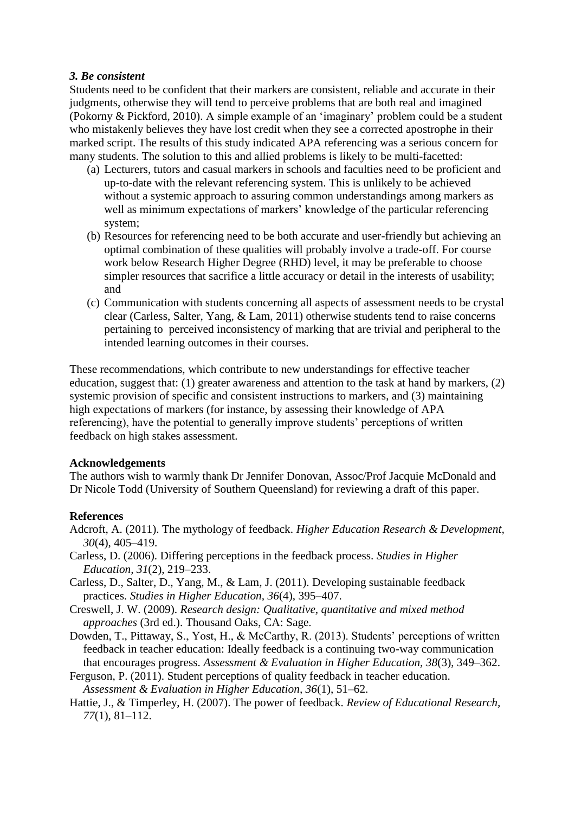## *3. Be consistent*

Students need to be confident that their markers are consistent, reliable and accurate in their judgments, otherwise they will tend to perceive problems that are both real and imagined (Pokorny & Pickford, 2010). A simple example of an 'imaginary' problem could be a student who mistakenly believes they have lost credit when they see a corrected apostrophe in their marked script. The results of this study indicated APA referencing was a serious concern for many students. The solution to this and allied problems is likely to be multi-facetted:

- (a) Lecturers, tutors and casual markers in schools and faculties need to be proficient and up-to-date with the relevant referencing system. This is unlikely to be achieved without a systemic approach to assuring common understandings among markers as well as minimum expectations of markers' knowledge of the particular referencing system;
- (b) Resources for referencing need to be both accurate and user-friendly but achieving an optimal combination of these qualities will probably involve a trade-off. For course work below Research Higher Degree (RHD) level, it may be preferable to choose simpler resources that sacrifice a little accuracy or detail in the interests of usability; and
- (c) Communication with students concerning all aspects of assessment needs to be crystal clear (Carless, Salter, Yang, & Lam, 2011) otherwise students tend to raise concerns pertaining to perceived inconsistency of marking that are trivial and peripheral to the intended learning outcomes in their courses.

These recommendations, which contribute to new understandings for effective teacher education, suggest that: (1) greater awareness and attention to the task at hand by markers, (2) systemic provision of specific and consistent instructions to markers, and (3) maintaining high expectations of markers (for instance, by assessing their knowledge of APA referencing), have the potential to generally improve students' perceptions of written feedback on high stakes assessment.

### **Acknowledgements**

The authors wish to warmly thank Dr Jennifer Donovan, Assoc/Prof Jacquie McDonald and Dr Nicole Todd (University of Southern Queensland) for reviewing a draft of this paper.

# **References**

- Adcroft, A. (2011). The mythology of feedback. *Higher Education Research & Development, 30*(4), 405–419.
- Carless, D. (2006). Differing perceptions in the feedback process. *Studies in Higher Education, 31*(2), 219–233.
- Carless, D., Salter, D., Yang, M., & Lam, J. (2011). Developing sustainable feedback practices. *Studies in Higher Education, 36*(4), 395–407.
- Creswell, J. W. (2009). *Research design: Qualitative, quantitative and mixed method approaches* (3rd ed.). Thousand Oaks, CA: Sage.
- Dowden, T., Pittaway, S., Yost, H., & McCarthy, R. (2013). Students' perceptions of written feedback in teacher education: Ideally feedback is a continuing two-way communication that encourages progress. *Assessment & Evaluation in Higher Education, 38*(3), 349–362.
- Ferguson, P. (2011). Student perceptions of quality feedback in teacher education. *Assessment & Evaluation in Higher Education, 36*(1), 51–62.
- Hattie, J., & Timperley, H. (2007). The power of feedback. *Review of Educational Research, 77*(1), 81–112.